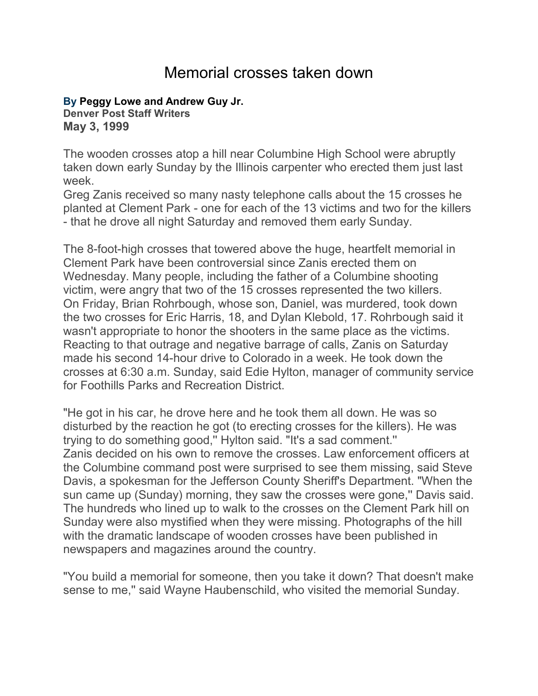## Memorial crosses taken down

## **By [Peggy Lowe and Andrew Guy Jr.](mailto:plowe@denverpost.com)**

**Denver Post Staff Writers May 3, 1999**

The wooden crosses atop a hill near Columbine High School were abruptly taken down early Sunday by the Illinois carpenter who erected them just last week.

Greg Zanis received so many nasty telephone calls about the 15 crosses he planted at Clement Park - one for each of the 13 victims and two for the killers - that he drove all night Saturday and removed them early Sunday.

The 8-foot-high crosses that towered above the huge, heartfelt memorial in Clement Park have been controversial since Zanis erected them on Wednesday. Many people, including the father of a Columbine shooting victim, were angry that two of the 15 crosses represented the two killers. On Friday, Brian Rohrbough, whose son, Daniel, was murdered, took down the two crosses for Eric Harris, 18, and Dylan Klebold, 17. Rohrbough said it wasn't appropriate to honor the shooters in the same place as the victims. Reacting to that outrage and negative barrage of calls, Zanis on Saturday made his second 14-hour drive to Colorado in a week. He took down the crosses at 6:30 a.m. Sunday, said Edie Hylton, manager of community service for Foothills Parks and Recreation District.

"He got in his car, he drove here and he took them all down. He was so disturbed by the reaction he got (to erecting crosses for the killers). He was trying to do something good,'' Hylton said. "It's a sad comment.'' Zanis decided on his own to remove the crosses. Law enforcement officers at the Columbine command post were surprised to see them missing, said Steve Davis, a spokesman for the Jefferson County Sheriff's Department. "When the sun came up (Sunday) morning, they saw the crosses were gone,'' Davis said. The hundreds who lined up to walk to the crosses on the Clement Park hill on Sunday were also mystified when they were missing. Photographs of the hill with the dramatic landscape of wooden crosses have been published in newspapers and magazines around the country.

"You build a memorial for someone, then you take it down? That doesn't make sense to me,'' said Wayne Haubenschild, who visited the memorial Sunday.